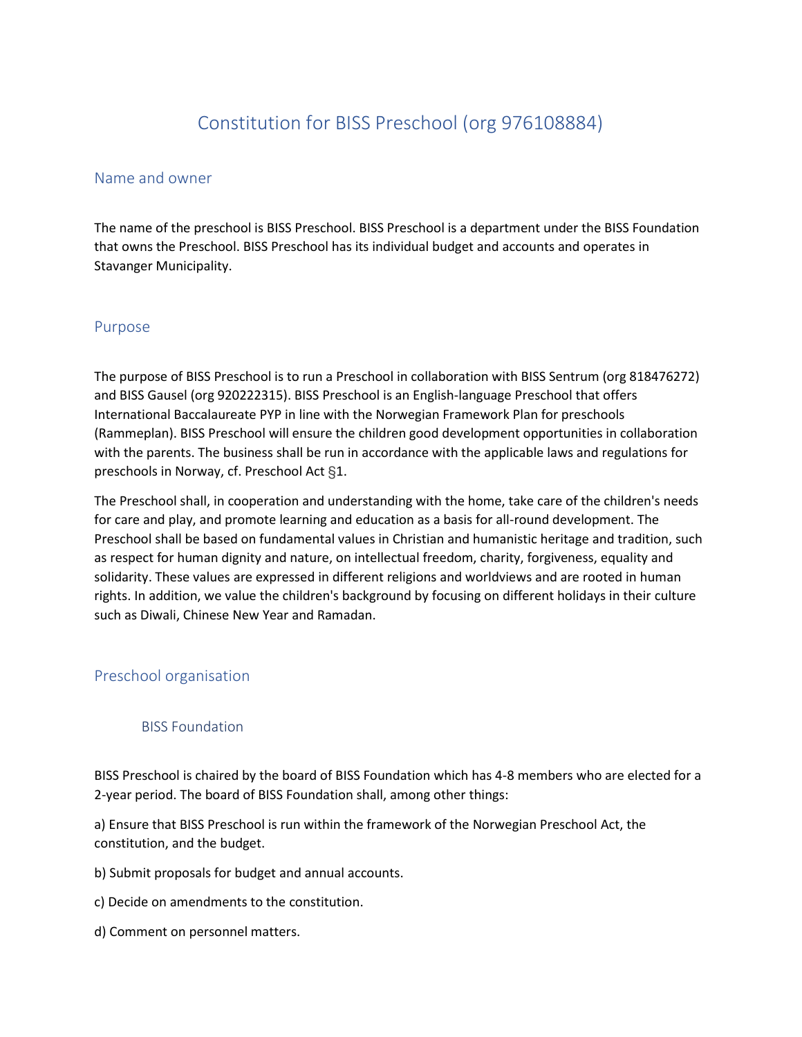# Constitution for BISS Preschool (org 976108884)

### Name and owner

The name of the preschool is BISS Preschool. BISS Preschool is a department under the BISS Foundation that owns the Preschool. BISS Preschool has its individual budget and accounts and operates in Stavanger Municipality.

### Purpose

The purpose of BISS Preschool is to run a Preschool in collaboration with BISS Sentrum (org 818476272) and BISS Gausel (org 920222315). BISS Preschool is an English-language Preschool that offers International Baccalaureate PYP in line with the Norwegian Framework Plan for preschools (Rammeplan). BISS Preschool will ensure the children good development opportunities in collaboration with the parents. The business shall be run in accordance with the applicable laws and regulations for preschools in Norway, cf. Preschool Act §1.

The Preschool shall, in cooperation and understanding with the home, take care of the children's needs for care and play, and promote learning and education as a basis for all-round development. The Preschool shall be based on fundamental values in Christian and humanistic heritage and tradition, such as respect for human dignity and nature, on intellectual freedom, charity, forgiveness, equality and solidarity. These values are expressed in different religions and worldviews and are rooted in human rights. In addition, we value the children's background by focusing on different holidays in their culture such as Diwali, Chinese New Year and Ramadan.

# Preschool organisation

# BISS Foundation

BISS Preschool is chaired by the board of BISS Foundation which has 4-8 members who are elected for a 2-year period. The board of BISS Foundation shall, among other things:

a) Ensure that BISS Preschool is run within the framework of the Norwegian Preschool Act, the constitution, and the budget.

b) Submit proposals for budget and annual accounts.

c) Decide on amendments to the constitution.

d) Comment on personnel matters.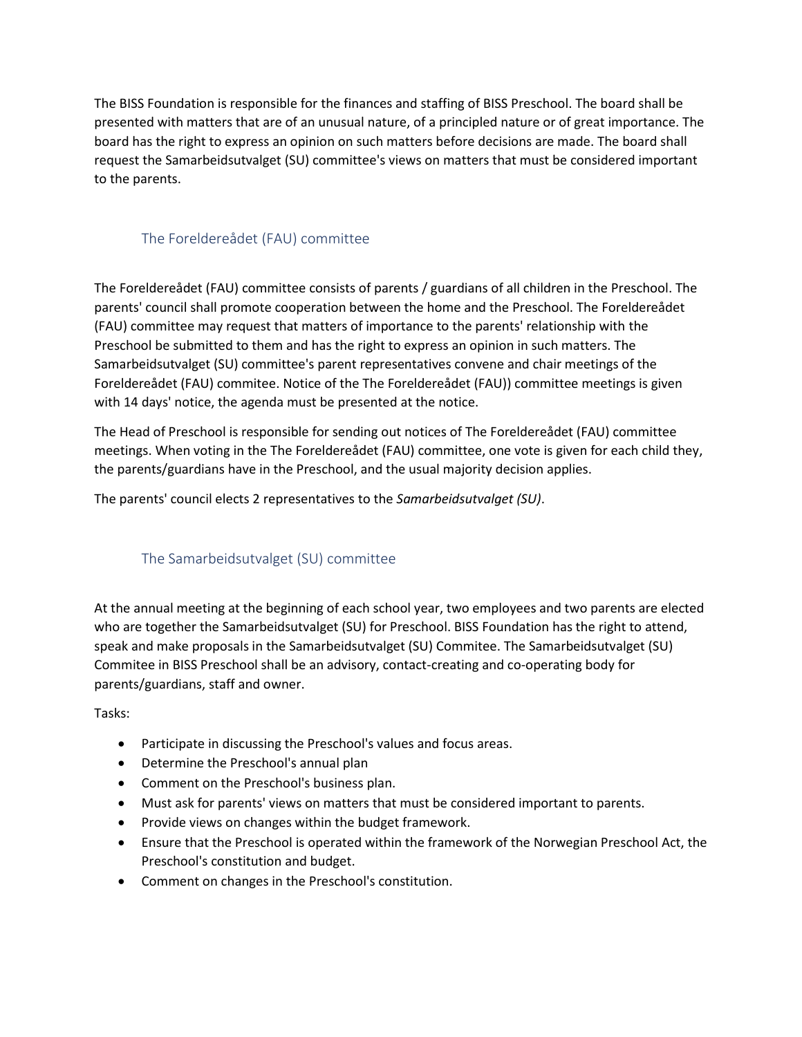The BISS Foundation is responsible for the finances and staffing of BISS Preschool. The board shall be presented with matters that are of an unusual nature, of a principled nature or of great importance. The board has the right to express an opinion on such matters before decisions are made. The board shall request the Samarbeidsutvalget (SU) committee's views on matters that must be considered important to the parents.

# The Foreldereådet (FAU) committee

The Foreldereådet (FAU) committee consists of parents / guardians of all children in the Preschool. The parents' council shall promote cooperation between the home and the Preschool. The Foreldereådet (FAU) committee may request that matters of importance to the parents' relationship with the Preschool be submitted to them and has the right to express an opinion in such matters. The Samarbeidsutvalget (SU) committee's parent representatives convene and chair meetings of the Foreldereådet (FAU) commitee. Notice of the The Foreldereådet (FAU)) committee meetings is given with 14 days' notice, the agenda must be presented at the notice.

The Head of Preschool is responsible for sending out notices of The Foreldereådet (FAU) committee meetings. When voting in the The Foreldereådet (FAU) committee, one vote is given for each child they, the parents/guardians have in the Preschool, and the usual majority decision applies.

The parents' council elects 2 representatives to the *Samarbeidsutvalget (SU)*.

# The Samarbeidsutvalget (SU) committee

At the annual meeting at the beginning of each school year, two employees and two parents are elected who are together the Samarbeidsutvalget (SU) for Preschool. BISS Foundation has the right to attend, speak and make proposals in the Samarbeidsutvalget (SU) Commitee. The Samarbeidsutvalget (SU) Commitee in BISS Preschool shall be an advisory, contact-creating and co-operating body for parents/guardians, staff and owner.

#### Tasks:

- Participate in discussing the Preschool's values and focus areas.
- Determine the Preschool's annual plan
- Comment on the Preschool's business plan.
- Must ask for parents' views on matters that must be considered important to parents.
- Provide views on changes within the budget framework.
- Ensure that the Preschool is operated within the framework of the Norwegian Preschool Act, the Preschool's constitution and budget.
- Comment on changes in the Preschool's constitution.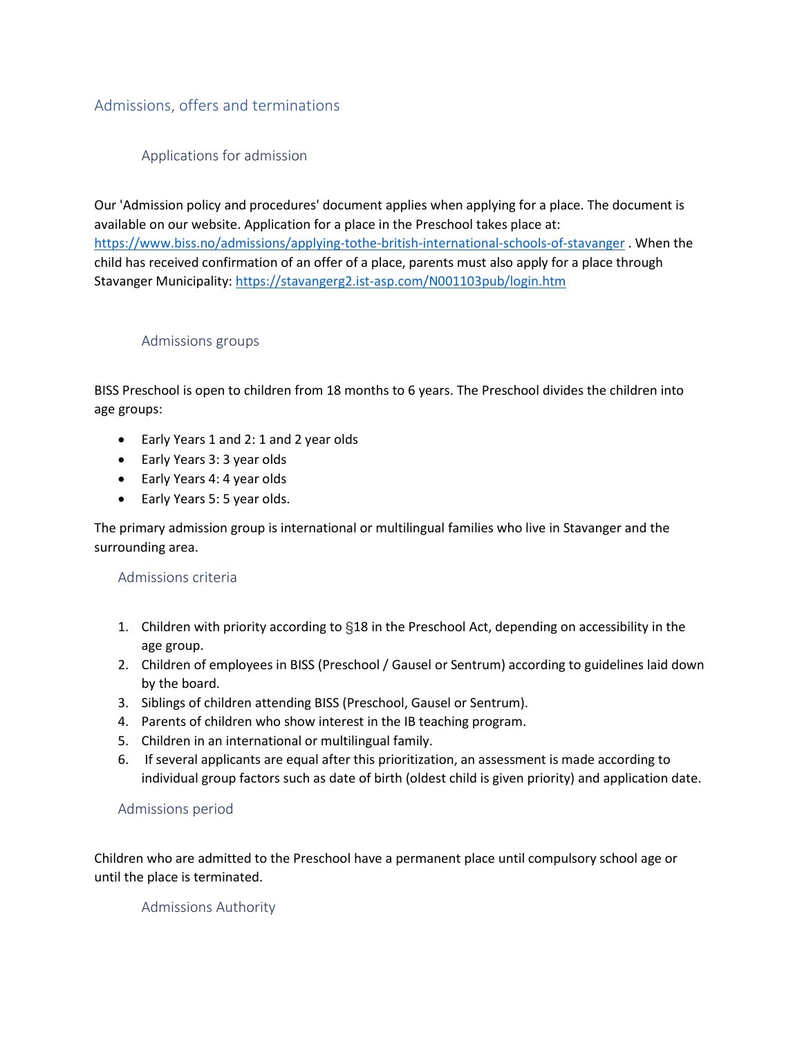# Admissions, offers and terminations

# Applications for admission

Our 'Admission policy and procedures' document applies when applying for a place. The document is available on our website. Application for a place in the Preschool takes place at: <https://www.biss.no/admissions/applying-tothe-british-international-schools-of-stavanger> . When the child has received confirmation of an offer of a place, parents must also apply for a place through Stavanger Municipality:<https://stavangerg2.ist-asp.com/N001103pub/login.htm>

### Admissions groups

BISS Preschool is open to children from 18 months to 6 years. The Preschool divides the children into age groups:

- Early Years 1 and 2: 1 and 2 year olds
- Early Years 3: 3 year olds
- Early Years 4: 4 year olds
- Early Years 5: 5 year olds.

The primary admission group is international or multilingual families who live in Stavanger and the surrounding area.

# Admissions criteria

- 1. Children with priority according to §18 in the Preschool Act, depending on accessibility in the age group.
- 2. Children of employees in BISS (Preschool / Gausel or Sentrum) according to guidelines laid down by the board.
- 3. Siblings of children attending BISS (Preschool, Gausel or Sentrum).
- 4. Parents of children who show interest in the IB teaching program.
- 5. Children in an international or multilingual family.
- 6. If several applicants are equal after this prioritization, an assessment is made according to individual group factors such as date of birth (oldest child is given priority) and application date.

# Admissions period

Children who are admitted to the Preschool have a permanent place until compulsory school age or until the place is terminated.

# Admissions Authority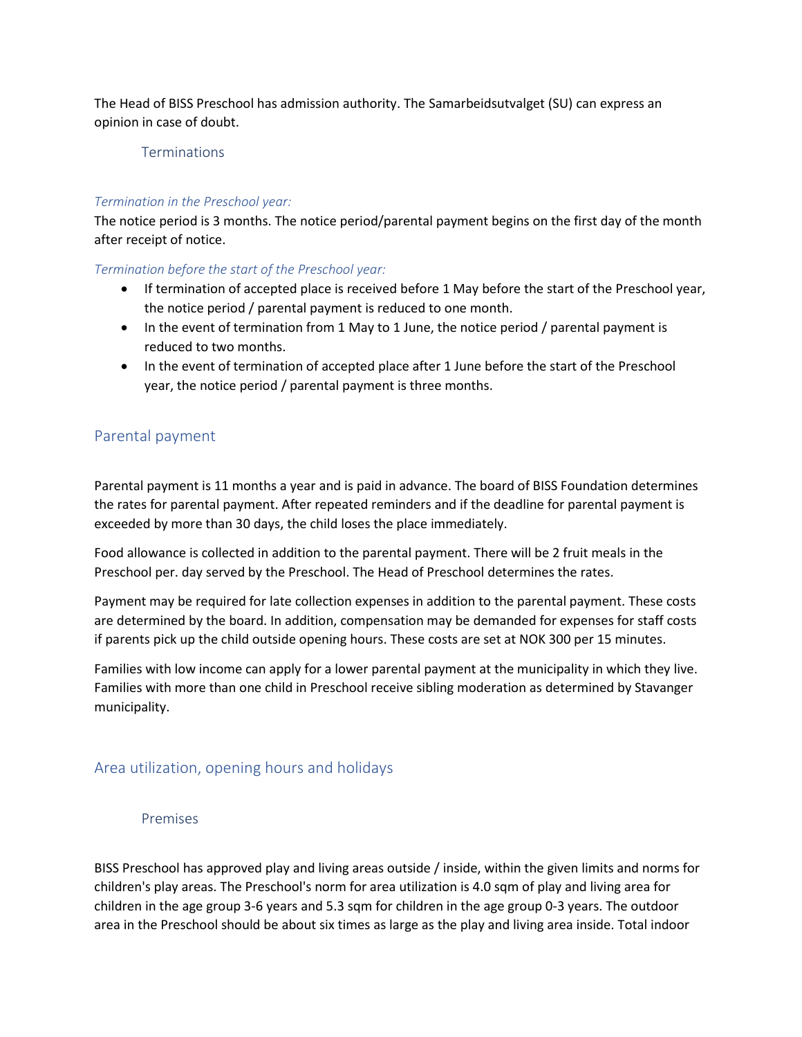The Head of BISS Preschool has admission authority. The Samarbeidsutvalget (SU) can express an opinion in case of doubt.

#### Terminations

#### *Termination in the Preschool year:*

The notice period is 3 months. The notice period/parental payment begins on the first day of the month after receipt of notice.

#### *Termination before the start of the Preschool year:*

- If termination of accepted place is received before 1 May before the start of the Preschool year, the notice period / parental payment is reduced to one month.
- In the event of termination from 1 May to 1 June, the notice period / parental payment is reduced to two months.
- In the event of termination of accepted place after 1 June before the start of the Preschool year, the notice period / parental payment is three months.

# Parental payment

Parental payment is 11 months a year and is paid in advance. The board of BISS Foundation determines the rates for parental payment. After repeated reminders and if the deadline for parental payment is exceeded by more than 30 days, the child loses the place immediately.

Food allowance is collected in addition to the parental payment. There will be 2 fruit meals in the Preschool per. day served by the Preschool. The Head of Preschool determines the rates.

Payment may be required for late collection expenses in addition to the parental payment. These costs are determined by the board. In addition, compensation may be demanded for expenses for staff costs if parents pick up the child outside opening hours. These costs are set at NOK 300 per 15 minutes.

Families with low income can apply for a lower parental payment at the municipality in which they live. Families with more than one child in Preschool receive sibling moderation as determined by Stavanger municipality.

# Area utilization, opening hours and holidays

#### Premises

BISS Preschool has approved play and living areas outside / inside, within the given limits and norms for children's play areas. The Preschool's norm for area utilization is 4.0 sqm of play and living area for children in the age group 3-6 years and 5.3 sqm for children in the age group 0-3 years. The outdoor area in the Preschool should be about six times as large as the play and living area inside. Total indoor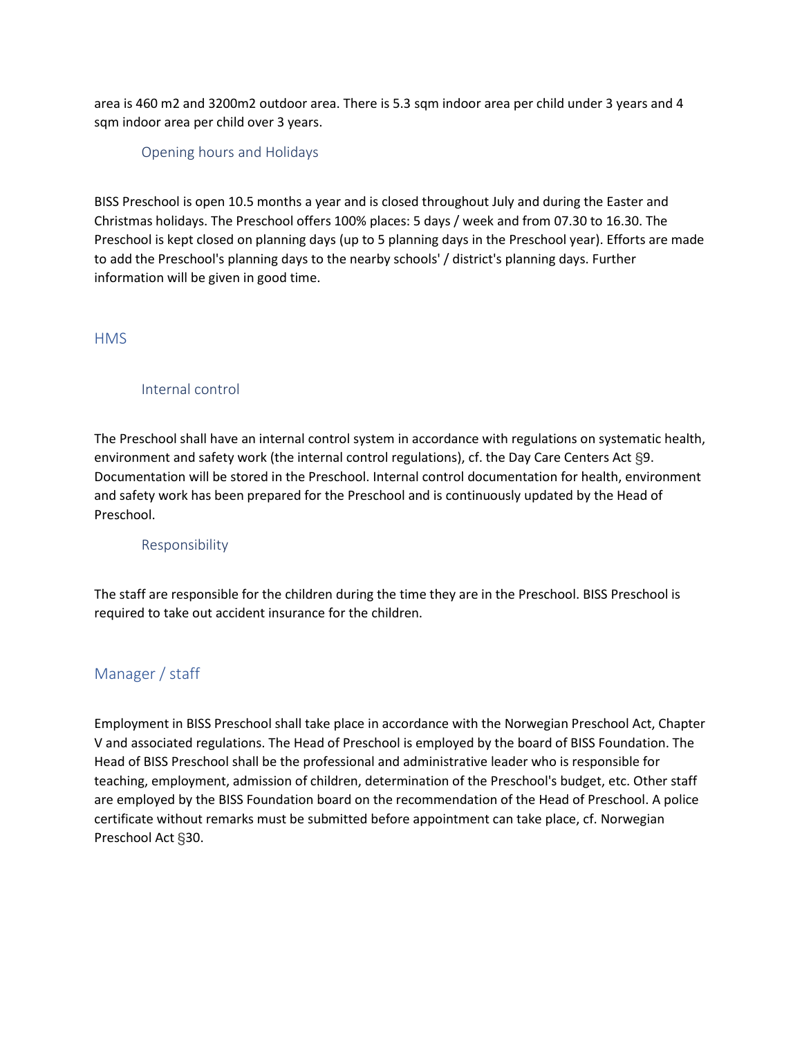area is 460 m2 and 3200m2 outdoor area. There is 5.3 sqm indoor area per child under 3 years and 4 sqm indoor area per child over 3 years.

#### Opening hours and Holidays

BISS Preschool is open 10.5 months a year and is closed throughout July and during the Easter and Christmas holidays. The Preschool offers 100% places: 5 days / week and from 07.30 to 16.30. The Preschool is kept closed on planning days (up to 5 planning days in the Preschool year). Efforts are made to add the Preschool's planning days to the nearby schools' / district's planning days. Further information will be given in good time.

### **HMS**

# Internal control

The Preschool shall have an internal control system in accordance with regulations on systematic health, environment and safety work (the internal control regulations), cf. the Day Care Centers Act §9. Documentation will be stored in the Preschool. Internal control documentation for health, environment and safety work has been prepared for the Preschool and is continuously updated by the Head of Preschool.

#### Responsibility

The staff are responsible for the children during the time they are in the Preschool. BISS Preschool is required to take out accident insurance for the children.

# Manager / staff

Employment in BISS Preschool shall take place in accordance with the Norwegian Preschool Act, Chapter V and associated regulations. The Head of Preschool is employed by the board of BISS Foundation. The Head of BISS Preschool shall be the professional and administrative leader who is responsible for teaching, employment, admission of children, determination of the Preschool's budget, etc. Other staff are employed by the BISS Foundation board on the recommendation of the Head of Preschool. A police certificate without remarks must be submitted before appointment can take place, cf. Norwegian Preschool Act §30.